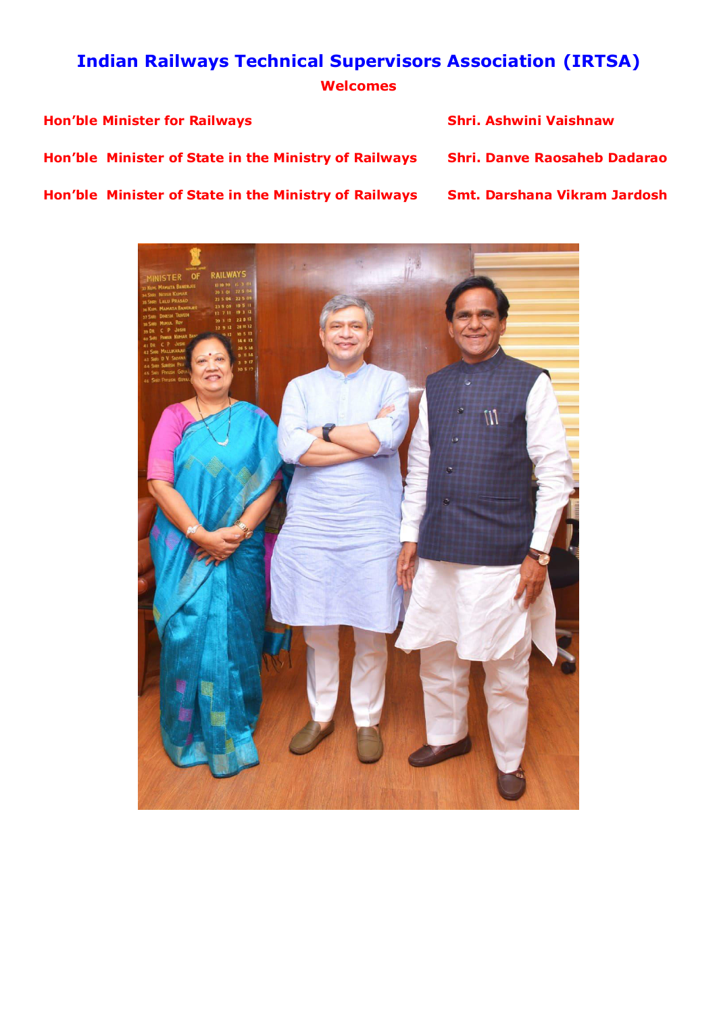# **Indian Railways Technical Supervisors Association (IRTSA) Welcomes**

**Hon**'ble Minister for Railways **Shri. Ashwini Vaishnaw Hon'ble Minister of State in the Ministry of Railways Shri. Danve Raosaheb Dadarao Hon'ble Minister of State in the Ministry of Railways Smt. Darshana Vikram Jardosh**

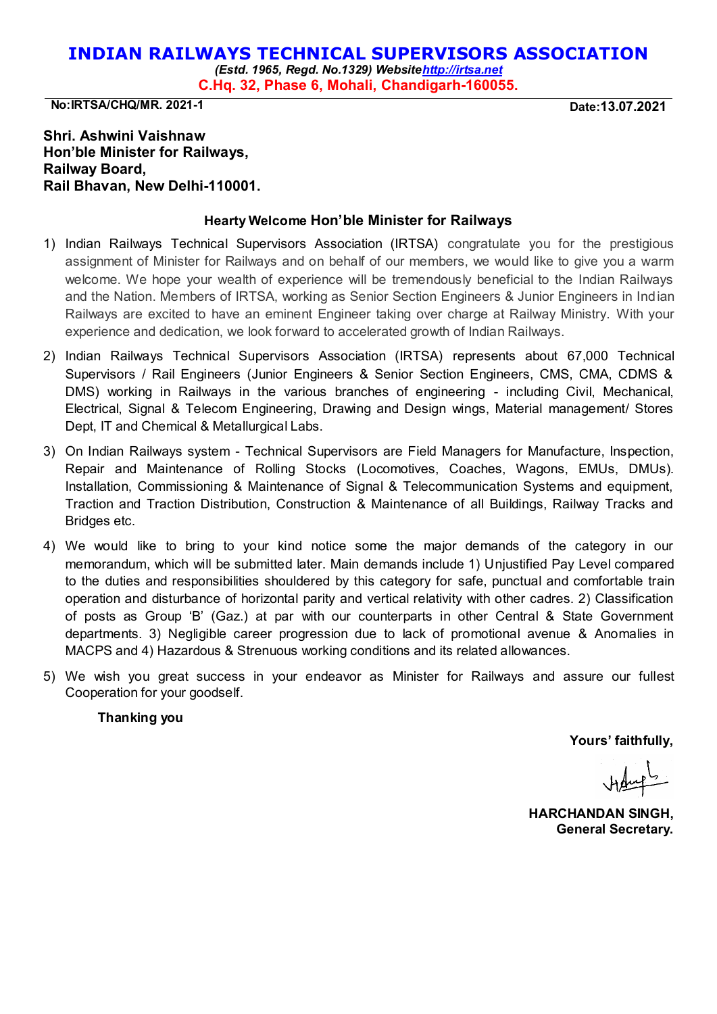# **INDIAN RAILWAYS TECHNICAL SUPERVISORS ASSOCIATION**

*(Estd. 1965, Regd. No.1329) Websit[ehttp://irtsa.net](http://irtsa.net/)*  **C.Hq. 32, Phase 6, Mohali, Chandigarh-160055.**

**No:IRTSA/CHQ/MR. 2021-1 Date:13.07.2021** 

**Shri. Ashwini Vaishnaw Hon'ble Minister for Railways, Railway Board, Rail Bhavan, New Delhi-110001.**

#### **Hearty Welcome Hon'ble Minister for Railways**

- 1) Indian Railways Technical Supervisors Association (IRTSA) congratulate you for the prestigious assignment of Minister for Railways and on behalf of our members, we would like to give you a warm welcome. We hope your wealth of experience will be tremendously beneficial to the Indian Railways and the Nation. Members of IRTSA, working as Senior Section Engineers & Junior Engineers in Indian Railways are excited to have an eminent Engineer taking over charge at Railway Ministry. With your experience and dedication, we look forward to accelerated growth of Indian Railways.
- 2) Indian Railways Technical Supervisors Association (IRTSA) represents about 67,000 Technical Supervisors / Rail Engineers (Junior Engineers & Senior Section Engineers, CMS, CMA, CDMS & DMS) working in Railways in the various branches of engineering - including Civil, Mechanical, Electrical, Signal & Telecom Engineering, Drawing and Design wings, Material management/ Stores Dept, IT and Chemical & Metallurgical Labs.
- 3) On Indian Railways system Technical Supervisors are Field Managers for Manufacture, Inspection, Repair and Maintenance of Rolling Stocks (Locomotives, Coaches, Wagons, EMUs, DMUs). Installation, Commissioning & Maintenance of Signal & Telecommunication Systems and equipment, Traction and Traction Distribution, Construction & Maintenance of all Buildings, Railway Tracks and Bridges etc.
- 4) We would like to bring to your kind notice some the major demands of the category in our memorandum, which will be submitted later. Main demands include 1) Unjustified Pay Level compared to the duties and responsibilities shouldered by this category for safe, punctual and comfortable train operation and disturbance of horizontal parity and vertical relativity with other cadres. 2) Classification of posts as Group 'B' (Gaz.) at par with our counterparts in other Central & State Government departments. 3) Negligible career progression due to lack of promotional avenue & Anomalies in MACPS and 4) Hazardous & Strenuous working conditions and its related allowances.
- 5) We wish you great success in your endeavor as Minister for Railways and assure our fullest Cooperation for your goodself.

**Thanking you** 

**Yours' faithfully,** 

**HARCHANDAN SINGH, General Secretary.**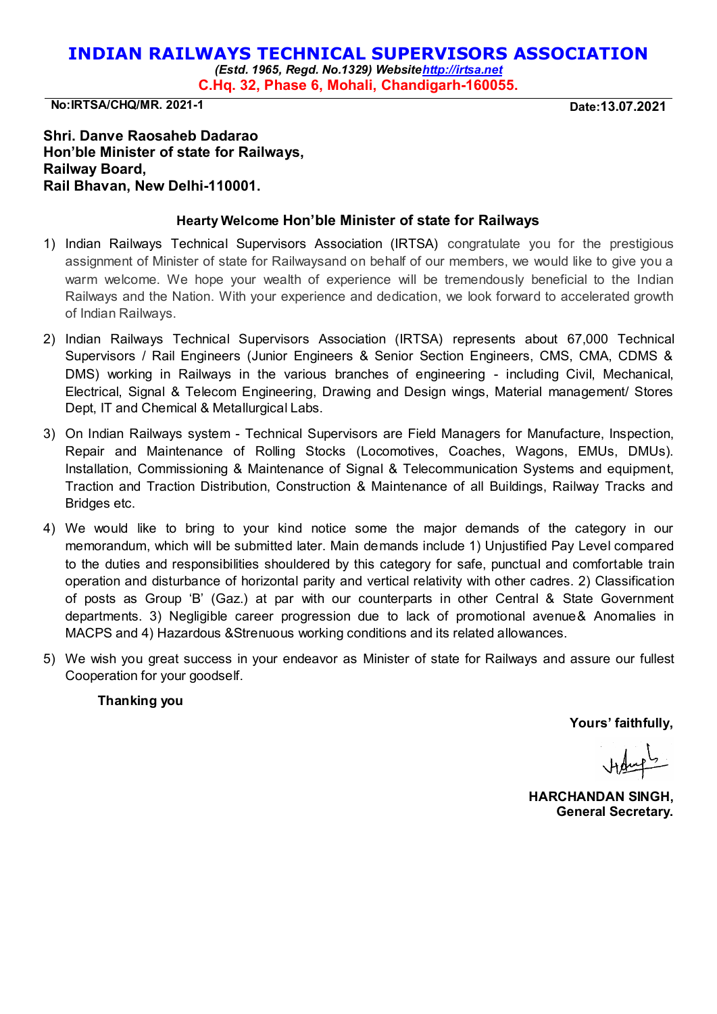# **INDIAN RAILWAYS TECHNICAL SUPERVISORS ASSOCIATION**

*(Estd. 1965, Regd. No.1329) Websit[ehttp://irtsa.net](http://irtsa.net/)*  **C.Hq. 32, Phase 6, Mohali, Chandigarh-160055.**

**No:IRTSA/CHQ/MR. 2021-1 Date:13.07.2021** 

**Shri. Danve Raosaheb Dadarao Hon'ble Minister of state for Railways, Railway Board, Rail Bhavan, New Delhi-110001.**

#### **Hearty Welcome Hon'ble Minister of state for Railways**

- 1) Indian Railways Technical Supervisors Association (IRTSA) congratulate you for the prestigious assignment of Minister of state for Railwaysand on behalf of our members, we would like to give you a warm welcome. We hope your wealth of experience will be tremendously beneficial to the Indian Railways and the Nation. With your experience and dedication, we look forward to accelerated growth of Indian Railways.
- 2) Indian Railways Technical Supervisors Association (IRTSA) represents about 67,000 Technical Supervisors / Rail Engineers (Junior Engineers & Senior Section Engineers, CMS, CMA, CDMS & DMS) working in Railways in the various branches of engineering - including Civil, Mechanical, Electrical, Signal & Telecom Engineering, Drawing and Design wings, Material management/ Stores Dept, IT and Chemical & Metallurgical Labs.
- 3) On Indian Railways system Technical Supervisors are Field Managers for Manufacture, Inspection, Repair and Maintenance of Rolling Stocks (Locomotives, Coaches, Wagons, EMUs, DMUs). Installation, Commissioning & Maintenance of Signal & Telecommunication Systems and equipment, Traction and Traction Distribution, Construction & Maintenance of all Buildings, Railway Tracks and Bridges etc.
- 4) We would like to bring to your kind notice some the major demands of the category in our memorandum, which will be submitted later. Main demands include 1) Unjustified Pay Level compared to the duties and responsibilities shouldered by this category for safe, punctual and comfortable train operation and disturbance of horizontal parity and vertical relativity with other cadres. 2) Classification of posts as Group 'B' (Gaz.) at par with our counterparts in other Central & State Government departments. 3) Negligible career progression due to lack of promotional avenue& Anomalies in MACPS and 4) Hazardous &Strenuous working conditions and its related allowances.
- 5) We wish you great success in your endeavor as Minister of state for Railways and assure our fullest Cooperation for your goodself.

**Thanking you** 

**Yours' faithfully,** 

**HARCHANDAN SINGH, General Secretary.**